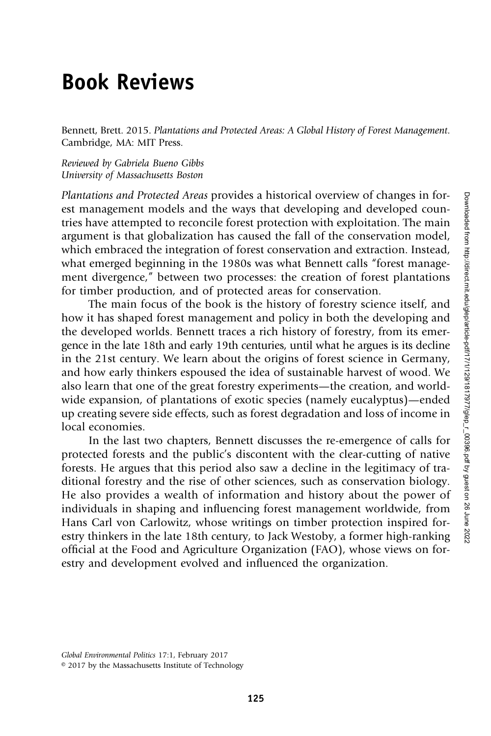## Book Reviews

Bennett, Brett. 2015. Plantations and Protected Areas: A Global History of Forest Management. Cambridge, MA: MIT Press.

Reviewed by Gabriela Bueno Gibbs University of Massachusetts Boston

Plantations and Protected Areas provides a historical overview of changes in forest management models and the ways that developing and developed countries have attempted to reconcile forest protection with exploitation. The main argument is that globalization has caused the fall of the conservation model, which embraced the integration of forest conservation and extraction. Instead, what emerged beginning in the 1980s was what Bennett calls "forest management divergence," between two processes: the creation of forest plantations for timber production, and of protected areas for conservation.

The main focus of the book is the history of forestry science itself, and how it has shaped forest management and policy in both the developing and the developed worlds. Bennett traces a rich history of forestry, from its emergence in the late 18th and early 19th centuries, until what he argues is its decline in the 21st century. We learn about the origins of forest science in Germany, and how early thinkers espoused the idea of sustainable harvest of wood. We also learn that one of the great forestry experiments—the creation, and worldwide expansion, of plantations of exotic species (namely eucalyptus)—ended up creating severe side effects, such as forest degradation and loss of income in local economies.

In the last two chapters, Bennett discusses the re-emergence of calls for protected forests and the public's discontent with the clear-cutting of native forests. He argues that this period also saw a decline in the legitimacy of traditional forestry and the rise of other sciences, such as conservation biology. He also provides a wealth of information and history about the power of individuals in shaping and influencing forest management worldwide, from Hans Carl von Carlowitz, whose writings on timber protection inspired forestry thinkers in the late 18th century, to Jack Westoby, a former high-ranking official at the Food and Agriculture Organization (FAO), whose views on forestry and development evolved and influenced the organization.

© 2017 by the Massachusetts Institute of Technology

Global Environmental Politics 17:1, February 2017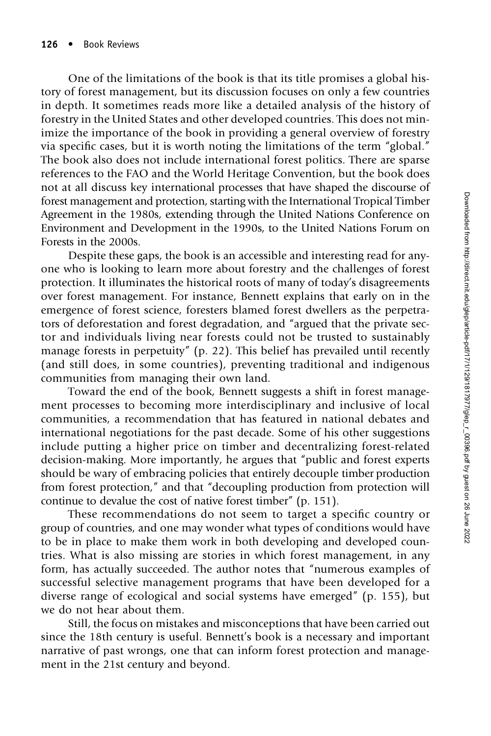One of the limitations of the book is that its title promises a global history of forest management, but its discussion focuses on only a few countries in depth. It sometimes reads more like a detailed analysis of the history of forestry in the United States and other developed countries. This does not minimize the importance of the book in providing a general overview of forestry via specific cases, but it is worth noting the limitations of the term "global." The book also does not include international forest politics. There are sparse references to the FAO and the World Heritage Convention, but the book does not at all discuss key international processes that have shaped the discourse of forest management and protection, starting with the International Tropical Timber Agreement in the 1980s, extending through the United Nations Conference on Environment and Development in the 1990s, to the United Nations Forum on Forests in the 2000s.

Despite these gaps, the book is an accessible and interesting read for anyone who is looking to learn more about forestry and the challenges of forest protection. It illuminates the historical roots of many of today's disagreements over forest management. For instance, Bennett explains that early on in the emergence of forest science, foresters blamed forest dwellers as the perpetrators of deforestation and forest degradation, and "argued that the private sector and individuals living near forests could not be trusted to sustainably manage forests in perpetuity" (p. 22). This belief has prevailed until recently (and still does, in some countries), preventing traditional and indigenous communities from managing their own land.

Toward the end of the book, Bennett suggests a shift in forest management processes to becoming more interdisciplinary and inclusive of local communities, a recommendation that has featured in national debates and international negotiations for the past decade. Some of his other suggestions include putting a higher price on timber and decentralizing forest-related decision-making. More importantly, he argues that "public and forest experts should be wary of embracing policies that entirely decouple timber production from forest protection," and that "decoupling production from protection will continue to devalue the cost of native forest timber" (p. 151).

These recommendations do not seem to target a specific country or group of countries, and one may wonder what types of conditions would have to be in place to make them work in both developing and developed countries. What is also missing are stories in which forest management, in any form, has actually succeeded. The author notes that "numerous examples of successful selective management programs that have been developed for a diverse range of ecological and social systems have emerged" (p. 155), but we do not hear about them.

Still, the focus on mistakes and misconceptions that have been carried out since the 18th century is useful. Bennett's book is a necessary and important narrative of past wrongs, one that can inform forest protection and management in the 21st century and beyond.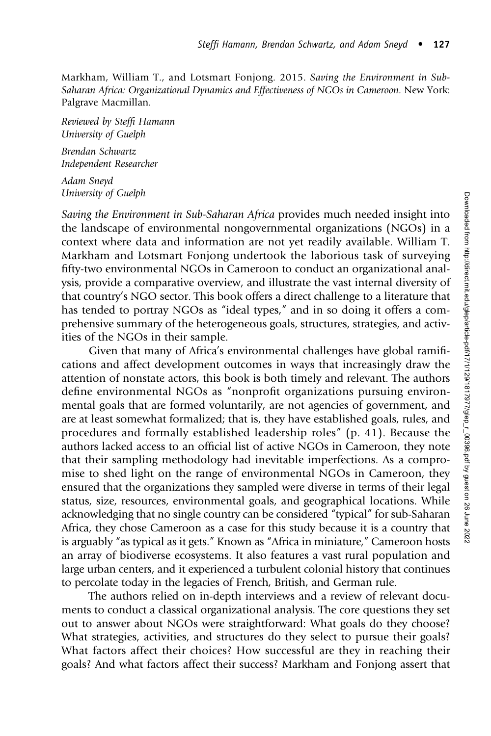Markham, William T., and Lotsmart Fonjong. 2015. Saving the Environment in Sub-Saharan Africa: Organizational Dynamics and Effectiveness of NGOs in Cameroon. New York: Palgrave Macmillan.

Reviewed by Steffi Hamann University of Guelph

Brendan Schwartz Independent Researcher

Adam Sneyd University of Guelph

Saving the Environment in Sub-Saharan Africa provides much needed insight into the landscape of environmental nongovernmental organizations (NGOs) in a context where data and information are not yet readily available. William T. Markham and Lotsmart Fonjong undertook the laborious task of surveying fifty-two environmental NGOs in Cameroon to conduct an organizational analysis, provide a comparative overview, and illustrate the vast internal diversity of that country's NGO sector. This book offers a direct challenge to a literature that has tended to portray NGOs as "ideal types," and in so doing it offers a comprehensive summary of the heterogeneous goals, structures, strategies, and activities of the NGOs in their sample.

Given that many of Africa's environmental challenges have global ramifications and affect development outcomes in ways that increasingly draw the attention of nonstate actors, this book is both timely and relevant. The authors define environmental NGOs as "nonprofit organizations pursuing environmental goals that are formed voluntarily, are not agencies of government, and are at least somewhat formalized; that is, they have established goals, rules, and procedures and formally established leadership roles" (p. 41). Because the authors lacked access to an official list of active NGOs in Cameroon, they note that their sampling methodology had inevitable imperfections. As a compromise to shed light on the range of environmental NGOs in Cameroon, they ensured that the organizations they sampled were diverse in terms of their legal status, size, resources, environmental goals, and geographical locations. While acknowledging that no single country can be considered "typical" for sub-Saharan Africa, they chose Cameroon as a case for this study because it is a country that is arguably "as typical as it gets." Known as "Africa in miniature," Cameroon hosts an array of biodiverse ecosystems. It also features a vast rural population and large urban centers, and it experienced a turbulent colonial history that continues to percolate today in the legacies of French, British, and German rule.

The authors relied on in-depth interviews and a review of relevant documents to conduct a classical organizational analysis. The core questions they set out to answer about NGOs were straightforward: What goals do they choose? What strategies, activities, and structures do they select to pursue their goals? What factors affect their choices? How successful are they in reaching their goals? And what factors affect their success? Markham and Fonjong assert that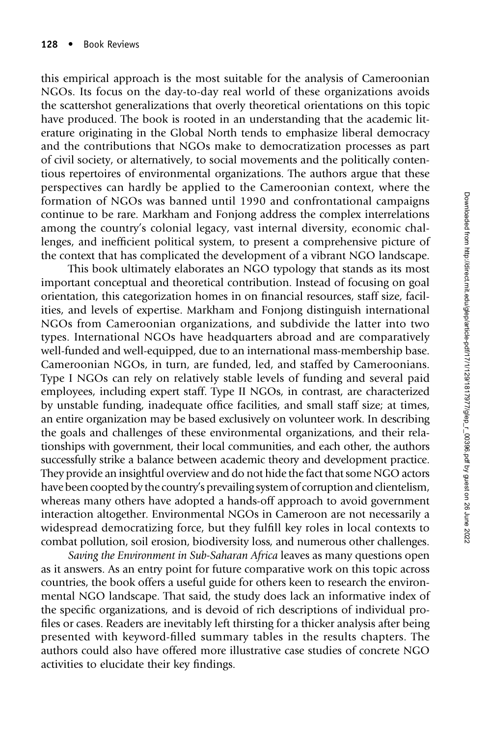this empirical approach is the most suitable for the analysis of Cameroonian NGOs. Its focus on the day-to-day real world of these organizations avoids the scattershot generalizations that overly theoretical orientations on this topic have produced. The book is rooted in an understanding that the academic literature originating in the Global North tends to emphasize liberal democracy and the contributions that NGOs make to democratization processes as part of civil society, or alternatively, to social movements and the politically contentious repertoires of environmental organizations. The authors argue that these perspectives can hardly be applied to the Cameroonian context, where the formation of NGOs was banned until 1990 and confrontational campaigns continue to be rare. Markham and Fonjong address the complex interrelations among the country's colonial legacy, vast internal diversity, economic challenges, and inefficient political system, to present a comprehensive picture of the context that has complicated the development of a vibrant NGO landscape.

This book ultimately elaborates an NGO typology that stands as its most important conceptual and theoretical contribution. Instead of focusing on goal orientation, this categorization homes in on financial resources, staff size, facilities, and levels of expertise. Markham and Fonjong distinguish international NGOs from Cameroonian organizations, and subdivide the latter into two types. International NGOs have headquarters abroad and are comparatively well-funded and well-equipped, due to an international mass-membership base. Cameroonian NGOs, in turn, are funded, led, and staffed by Cameroonians. Type I NGOs can rely on relatively stable levels of funding and several paid employees, including expert staff. Type II NGOs, in contrast, are characterized by unstable funding, inadequate office facilities, and small staff size; at times, an entire organization may be based exclusively on volunteer work. In describing the goals and challenges of these environmental organizations, and their relationships with government, their local communities, and each other, the authors successfully strike a balance between academic theory and development practice. They provide an insightful overview and do not hide the fact that some NGO actors have been coopted by the country's prevailing system of corruption and clientelism, whereas many others have adopted a hands-off approach to avoid government interaction altogether. Environmental NGOs in Cameroon are not necessarily a widespread democratizing force, but they fulfill key roles in local contexts to combat pollution, soil erosion, biodiversity loss, and numerous other challenges.

Saving the Environment in Sub-Saharan Africa leaves as many questions open as it answers. As an entry point for future comparative work on this topic across countries, the book offers a useful guide for others keen to research the environmental NGO landscape. That said, the study does lack an informative index of the specific organizations, and is devoid of rich descriptions of individual profiles or cases. Readers are inevitably left thirsting for a thicker analysis after being presented with keyword-filled summary tables in the results chapters. The authors could also have offered more illustrative case studies of concrete NGO activities to elucidate their key findings.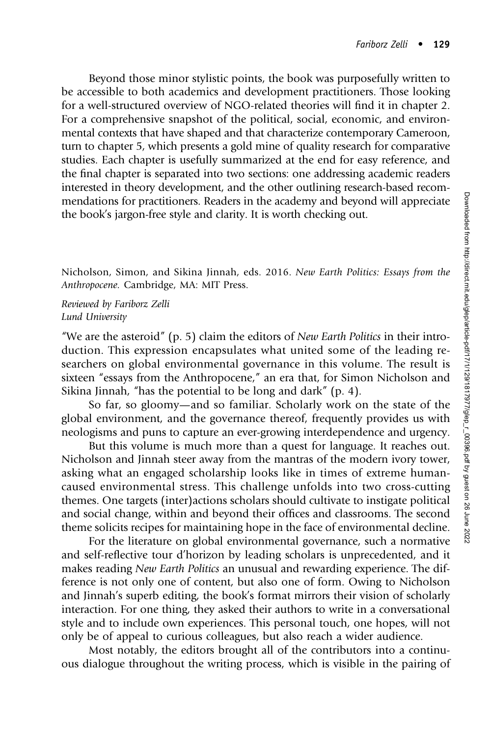Beyond those minor stylistic points, the book was purposefully written to be accessible to both academics and development practitioners. Those looking for a well-structured overview of NGO-related theories will find it in chapter 2. For a comprehensive snapshot of the political, social, economic, and environmental contexts that have shaped and that characterize contemporary Cameroon, turn to chapter 5, which presents a gold mine of quality research for comparative studies. Each chapter is usefully summarized at the end for easy reference, and the final chapter is separated into two sections: one addressing academic readers interested in theory development, and the other outlining research-based recommendations for practitioners. Readers in the academy and beyond will appreciate the book's jargon-free style and clarity. It is worth checking out.

Nicholson, Simon, and Sikina Jinnah, eds. 2016. New Earth Politics: Essays from the Anthropocene. Cambridge, MA: MIT Press.

Reviewed by Fariborz Zelli Lund University

"We are the asteroid" (p. 5) claim the editors of *New Earth Politics* in their introduction. This expression encapsulates what united some of the leading researchers on global environmental governance in this volume. The result is sixteen "essays from the Anthropocene," an era that, for Simon Nicholson and Sikina Jinnah, "has the potential to be long and dark" (p. 4).

So far, so gloomy—and so familiar. Scholarly work on the state of the global environment, and the governance thereof, frequently provides us with neologisms and puns to capture an ever-growing interdependence and urgency.

But this volume is much more than a quest for language. It reaches out. Nicholson and Jinnah steer away from the mantras of the modern ivory tower, asking what an engaged scholarship looks like in times of extreme humancaused environmental stress. This challenge unfolds into two cross-cutting themes. One targets (inter)actions scholars should cultivate to instigate political and social change, within and beyond their offices and classrooms. The second theme solicits recipes for maintaining hope in the face of environmental decline.

For the literature on global environmental governance, such a normative and self-reflective tour d'horizon by leading scholars is unprecedented, and it makes reading New Earth Politics an unusual and rewarding experience. The difference is not only one of content, but also one of form. Owing to Nicholson and Jinnah's superb editing, the book's format mirrors their vision of scholarly interaction. For one thing, they asked their authors to write in a conversational style and to include own experiences. This personal touch, one hopes, will not only be of appeal to curious colleagues, but also reach a wider audience.

Most notably, the editors brought all of the contributors into a continuous dialogue throughout the writing process, which is visible in the pairing of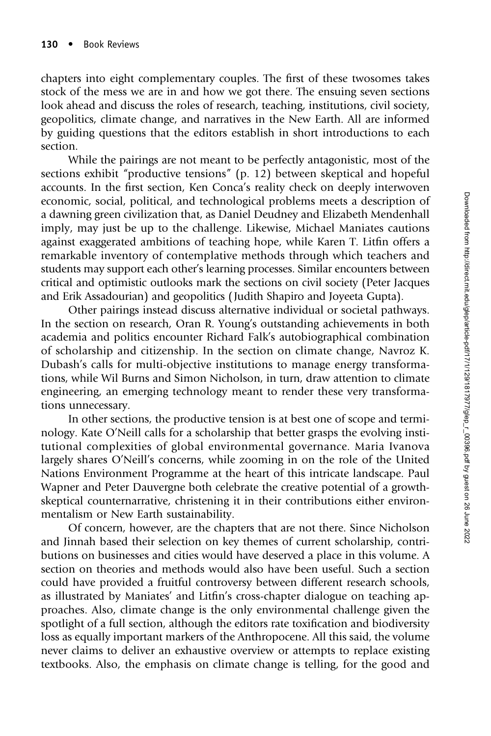chapters into eight complementary couples. The first of these twosomes takes stock of the mess we are in and how we got there. The ensuing seven sections look ahead and discuss the roles of research, teaching, institutions, civil society, geopolitics, climate change, and narratives in the New Earth. All are informed by guiding questions that the editors establish in short introductions to each section.

While the pairings are not meant to be perfectly antagonistic, most of the sections exhibit "productive tensions" (p. 12) between skeptical and hopeful accounts. In the first section, Ken Conca's reality check on deeply interwoven economic, social, political, and technological problems meets a description of a dawning green civilization that, as Daniel Deudney and Elizabeth Mendenhall imply, may just be up to the challenge. Likewise, Michael Maniates cautions against exaggerated ambitions of teaching hope, while Karen T. Litfin offers a remarkable inventory of contemplative methods through which teachers and students may support each other's learning processes. Similar encounters between critical and optimistic outlooks mark the sections on civil society (Peter Jacques and Erik Assadourian) and geopolitics ( Judith Shapiro and Joyeeta Gupta).

Other pairings instead discuss alternative individual or societal pathways. In the section on research, Oran R. Young's outstanding achievements in both academia and politics encounter Richard Falk's autobiographical combination of scholarship and citizenship. In the section on climate change, Navroz K. Dubash's calls for multi-objective institutions to manage energy transformations, while Wil Burns and Simon Nicholson, in turn, draw attention to climate engineering, an emerging technology meant to render these very transformations unnecessary.

In other sections, the productive tension is at best one of scope and terminology. Kate O'Neill calls for a scholarship that better grasps the evolving institutional complexities of global environmental governance. Maria Ivanova largely shares O'Neill's concerns, while zooming in on the role of the United Nations Environment Programme at the heart of this intricate landscape. Paul Wapner and Peter Dauvergne both celebrate the creative potential of a growthskeptical counternarrative, christening it in their contributions either environmentalism or New Earth sustainability.

Of concern, however, are the chapters that are not there. Since Nicholson and Jinnah based their selection on key themes of current scholarship, contributions on businesses and cities would have deserved a place in this volume. A section on theories and methods would also have been useful. Such a section could have provided a fruitful controversy between different research schools, as illustrated by Maniates' and Litfin's cross-chapter dialogue on teaching approaches. Also, climate change is the only environmental challenge given the spotlight of a full section, although the editors rate toxification and biodiversity loss as equally important markers of the Anthropocene. All this said, the volume never claims to deliver an exhaustive overview or attempts to replace existing textbooks. Also, the emphasis on climate change is telling, for the good and